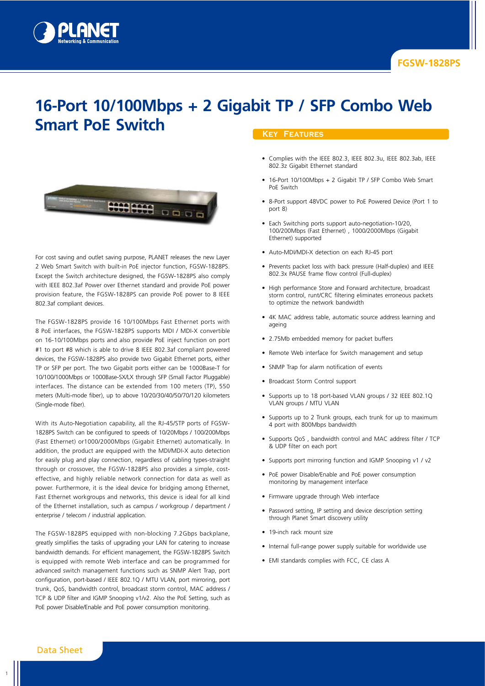

# **16-Port 10/100Mbps + 2 Gigabit TP / SFP Combo Web Smart PoE Switch**



For cost saving and outlet saving purpose, PLANET releases the new Layer 2 Web Smart Switch with built-in PoE injector function, FGSW-1828PS. Except the Switch architecture designed, the FGSW-1828PS also comply with IEEE 802.3af Power over Ethernet standard and provide PoE power provision feature, the FGSW-1828PS can provide PoE power to 8 IEEE 802.3af compliant devices.

The FGSW-1828PS provide 16 10/100Mbps Fast Ethernet ports with 8 PoE interfaces, the FGSW-1828PS supports MDI / MDI-X convertible on 16-10/100Mbps ports and also provide PoE inject function on port #1 to port #8 which is able to drive 8 IEEE 802.3af compliant powered devices, the FGSW-1828PS also provide two Gigabit Ethernet ports, either TP or SFP per port. The two Gigabit ports either can be 1000Base-T for 10/100/1000Mbps or 1000Base-SX/LX through SFP (Small Factor Pluggable) interfaces. The distance can be extended from 100 meters (TP), 550 meters (Multi-mode fiber), up to above 10/20/30/40/50/70/120 kilometers (Single-mode fiber).

With its Auto-Negotiation capability, all the RJ-45/STP ports of FGSW-1828PS Switch can be configured to speeds of 10/20Mbps / 100/200Mbps (Fast Ethernet) or1000/2000Mbps (Gigabit Ethernet) automatically. In addition, the product are equipped with the MDI/MDI-X auto detection for easily plug and play connection, regardless of cabling types-straight through or crossover, the FGSW-1828PS also provides a simple, costeffective, and highly reliable network connection for data as well as power. Furthermore, it is the ideal device for bridging among Ethernet, Fast Ethernet workgroups and networks, this device is ideal for all kind of the Ethernet installation, such as campus / workgroup / department / enterprise / telecom / industrial application.

The FGSW-1828PS equipped with non-blocking 7.2Gbps backplane, greatly simplifies the tasks of upgrading your LAN for catering to increase bandwidth demands. For efficient management, the FGSW-1828PS Switch is equipped with remote Web interface and can be programmed for advanced switch management functions such as SNMP Alert Trap, port configuration, port-based / IEEE 802.1Q / MTU VLAN, port mirroring, port trunk, QoS, bandwidth control, broadcast storm control, MAC address / TCP & UDP filter and IGMP Snooping v1/v2. Also the PoE Setting, such as PoE power Disable/Enable and PoE power consumption monitoring.

#### **Key Features**

- Complies with the IEEE 802.3, IEEE 802.3u, IEEE 802.3ab, IEEE 802.3z Gigabit Ethernet standard
- 16-Port 10/100Mbps + 2 Gigabit TP / SFP Combo Web Smart PoE Switch
- 8-Port support 48VDC power to PoE Powered Device (Port 1 to port 8)
- Each Switching ports support auto-negotiation-10/20, 100/200Mbps (Fast Ethernet) , 1000/2000Mbps (Gigabit Ethernet) supported
- Auto-MDI/MDI-X detection on each RJ-45 port
- Prevents packet loss with back pressure (Half-duplex) and IEEE 802.3x PAUSE frame flow control (Full-duplex)
- High performance Store and Forward architecture, broadcast storm control, runt/CRC filtering eliminates erroneous packets to optimize the network bandwidth
- 4K MAC address table, automatic source address learning and ageing
- 2.75Mb embedded memory for packet buffers
- Remote Web interface for Switch management and setup
- SNMP Trap for alarm notification of events
- Broadcast Storm Control support
- Supports up to 18 port-based VLAN groups / 32 IEEE 802.1Q VLAN groups / MTU VLAN
- Supports up to 2 Trunk groups, each trunk for up to maximum 4 port with 800Mbps bandwidth
- Supports QoS , bandwidth control and MAC address filter / TCP & UDP filter on each port
- Supports port mirroring function and IGMP Snooping v1 / v2
- PoE power Disable/Enable and PoE power consumption monitoring by management interface
- Firmware upgrade through Web interface
- Password setting, IP setting and device description setting through Planet Smart discovery utility
- 19-inch rack mount size
- Internal full-range power supply suitable for worldwide use
- EMI standards complies with FCC, CE class A

1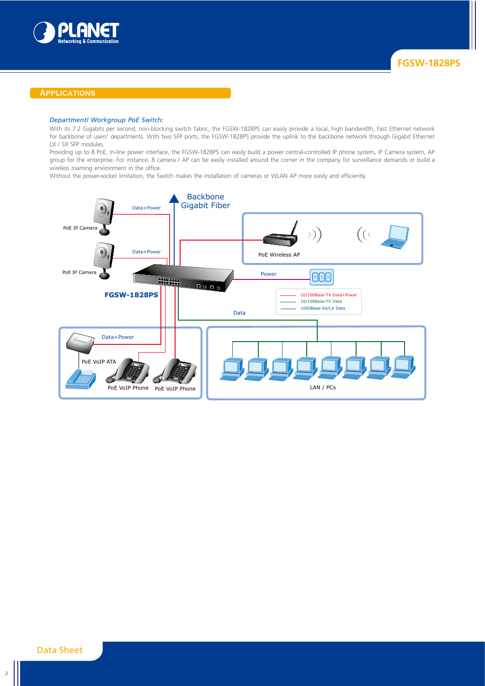

#### **Applications**

### *Department/ Workgroup PoE Switch:*

With its 7.2 Gigabits per second, non-blocking switch fabric, the FGSW-1828PS can easily provide a local, high bandwidth, Fast Ethernet network for backbone of users' departments. With two SFP ports, the FGSW-1828PS provide the uplink to the backbone network through Gigabit Ethernet LX / SX SFP modules.

Providing up to 8 PoE, in-line power interface, the FGSW-1828PS can easily build a power central-controlled IP phone system, IP Camera system, AP group for the enterprise. For instance, 8 camera / AP can be easily installed around the corner in the company for surveillance demands or build a wireless roaming environment in the office.

Without the power-socket limitation, the Switch makes the installation of cameras or WLAN AP more easily and efficiently.

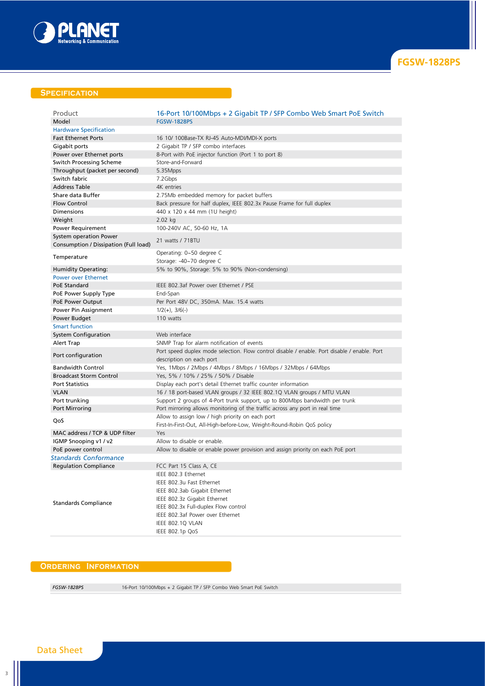

## **SPECIFICATION**

| Product                                                         | 16-Port 10/100Mbps + 2 Gigabit TP / SFP Combo Web Smart PoE Switch                                                                                                                                                |
|-----------------------------------------------------------------|-------------------------------------------------------------------------------------------------------------------------------------------------------------------------------------------------------------------|
| Model                                                           | <b>FGSW-1828PS</b>                                                                                                                                                                                                |
| <b>Hardware Specification</b>                                   |                                                                                                                                                                                                                   |
| <b>Fast Ethernet Ports</b>                                      | 16 10/ 100Base-TX RJ-45 Auto-MDI/MDI-X ports                                                                                                                                                                      |
| Gigabit ports                                                   | 2 Gigabit TP / SFP combo interfaces                                                                                                                                                                               |
| Power over Ethernet ports                                       | 8-Port with PoE injector function (Port 1 to port 8)                                                                                                                                                              |
| Switch Processing Scheme                                        | Store-and-Forward                                                                                                                                                                                                 |
| Throughput (packet per second)                                  | 5.35Mpps                                                                                                                                                                                                          |
| Switch fabric                                                   | 7.2Gbps                                                                                                                                                                                                           |
| <b>Address Table</b>                                            | 4K entries                                                                                                                                                                                                        |
| Share data Buffer                                               | 2.75Mb embedded memory for packet buffers                                                                                                                                                                         |
| <b>Flow Control</b>                                             | Back pressure for half duplex, IEEE 802.3x Pause Frame for full duplex                                                                                                                                            |
| Dimensions                                                      | 440 x 120 x 44 mm (1U height)                                                                                                                                                                                     |
| Weight                                                          | $2.02$ kg                                                                                                                                                                                                         |
| Power Requirement                                               | 100-240V AC, 50-60 Hz, 1A                                                                                                                                                                                         |
| System operation Power<br>Consumption / Dissipation (Full load) | 21 watts / 71BTU                                                                                                                                                                                                  |
| Temperature                                                     | Operating: 0~50 degree C                                                                                                                                                                                          |
|                                                                 | Storage: -40~70 degree C                                                                                                                                                                                          |
| <b>Humidity Operating:</b>                                      | 5% to 90%, Storage: 5% to 90% (Non-condensing)                                                                                                                                                                    |
| <b>Power over Ethernet</b>                                      |                                                                                                                                                                                                                   |
| PoE Standard                                                    | IEEE 802.3af Power over Ethernet / PSE                                                                                                                                                                            |
| PoE Power Supply Type                                           | End-Span                                                                                                                                                                                                          |
| PoE Power Output                                                | Per Port 48V DC, 350mA. Max. 15.4 watts                                                                                                                                                                           |
| Power Pin Assignment                                            | $1/2(+)$ , $3/6(-)$                                                                                                                                                                                               |
| Power Budget                                                    | 110 watts                                                                                                                                                                                                         |
| <b>Smart function</b>                                           |                                                                                                                                                                                                                   |
| <b>System Configuration</b>                                     | Web interface                                                                                                                                                                                                     |
| Alert Trap                                                      | SNMP Trap for alarm notification of events                                                                                                                                                                        |
| Port configuration                                              | Port speed duplex mode selection. Flow control disable / enable. Port disable / enable. Port<br>description on each port                                                                                          |
| <b>Bandwidth Control</b>                                        | Yes, 1Mbps / 2Mbps / 4Mbps / 8Mbps / 16Mbps / 32Mbps / 64Mbps                                                                                                                                                     |
| <b>Broadcast Storm Control</b>                                  | Yes, 5% / 10% / 25% / 50% / Disable                                                                                                                                                                               |
| <b>Port Statistics</b>                                          | Display each port's detail Ethernet traffic counter information                                                                                                                                                   |
| <b>VLAN</b>                                                     | 16 / 18 port-based VLAN groups / 32 IEEE 802.1Q VLAN groups / MTU VLAN                                                                                                                                            |
| Port trunking                                                   | Support 2 groups of 4-Port trunk support, up to 800Mbps bandwidth per trunk                                                                                                                                       |
| Port Mirroring                                                  | Port mirroring allows monitoring of the traffic across any port in real time                                                                                                                                      |
| QoS                                                             | Allow to assign low / high priority on each port<br>First-In-First-Out, All-High-before-Low, Weight-Round-Robin QoS policy                                                                                        |
| MAC address / TCP & UDP filter                                  | Yes                                                                                                                                                                                                               |
| IGMP Snooping v1 / v2                                           | Allow to disable or enable.                                                                                                                                                                                       |
| PoE power control                                               | Allow to disable or enable power provision and assign priority on each PoE port                                                                                                                                   |
| Standards Conformance                                           |                                                                                                                                                                                                                   |
| <b>Regulation Compliance</b>                                    | FCC Part 15 Class A, CE                                                                                                                                                                                           |
| <b>Standards Compliance</b>                                     | IEEE 802.3 Ethernet<br>IEEE 802.3u Fast Ethernet<br>IEEE 802.3ab Gigabit Ethernet<br>IEEE 802.3z Gigabit Ethernet<br>IEEE 802.3x Full-duplex Flow control<br>IEEE 802.3af Power over Ethernet<br>IEEE 802.1Q VLAN |
|                                                                 | IEEE 802.1p QoS                                                                                                                                                                                                   |

## **Ordering Information**

*FGSW-1828PS* 16-Port 10/100Mbps + 2 Gigabit TP / SFP Combo Web Smart PoE Switch

# Data Sheet

3